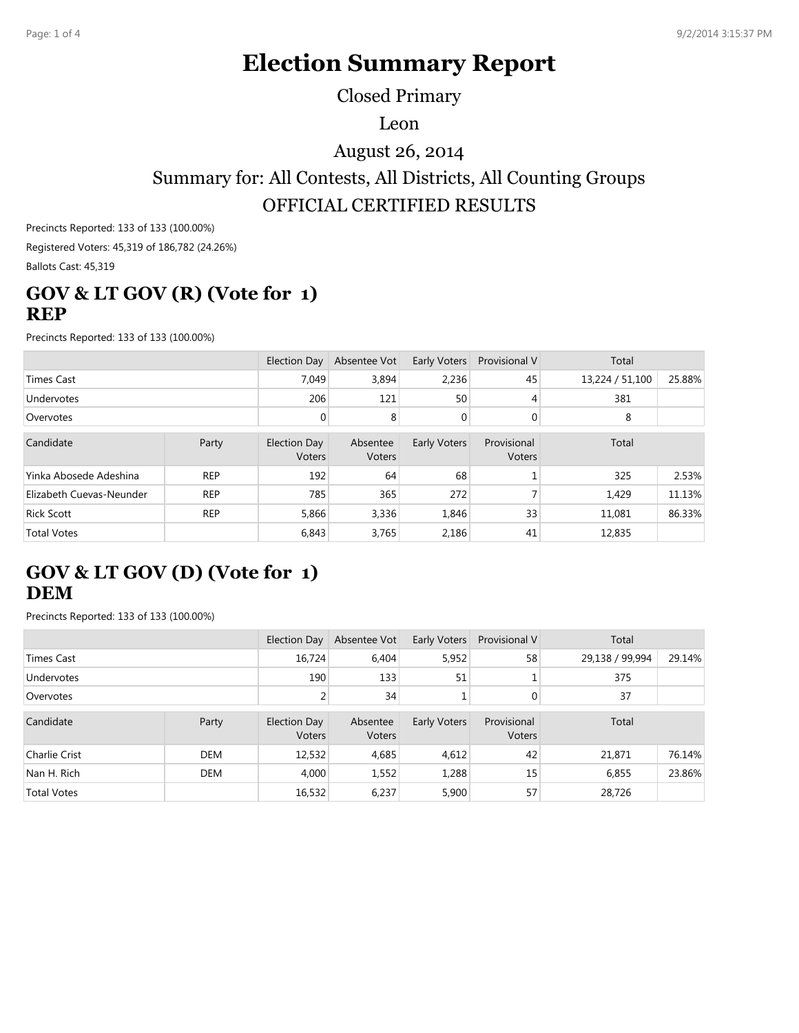# **Election Summary Report**

Closed Primary

Leon

August 26, 2014

### Summary for: All Contests, All Districts, All Counting Groups OFFICIAL CERTIFIED RESULTS

Precincts Reported: 133 of 133 (100.00%) Registered Voters: 45,319 of 186,782 (24.26%)

Ballots Cast: 45,319

#### **GOV & LT GOV (R) (Vote for 1) REP**

Precincts Reported: 133 of 133 (100.00%)

|                          |            | Election Day           | Absentee Vot       | Early Voters   | <b>Provisional V</b>  | Total           |        |
|--------------------------|------------|------------------------|--------------------|----------------|-----------------------|-----------------|--------|
| <b>Times Cast</b>        |            | 7.049                  | 3.894              | 2.236          | 45                    | 13,224 / 51,100 | 25.88% |
| Undervotes               |            | 206                    | 121                | 50             | 4                     | 381             |        |
| Overvotes                |            |                        | 8                  | $\overline{0}$ | $\overline{0}$        | 8               |        |
| Candidate                | Party      | Election Day<br>Voters | Absentee<br>Voters | Early Voters   | Provisional<br>Voters | Total           |        |
| Yinka Abosede Adeshina   | <b>REP</b> | 192                    | 64                 | 68             |                       | 325             | 2.53%  |
| Elizabeth Cuevas-Neunder | <b>REP</b> | 785                    | 365                | 272            |                       | 1,429           | 11.13% |
| <b>Rick Scott</b>        | <b>REP</b> | 5,866                  | 3,336              | 1,846          | 33                    | 11,081          | 86.33% |
| <b>Total Votes</b>       |            | 6,843                  | 3,765              | 2,186          | 41                    | 12,835          |        |

#### **GOV & LT GOV (D) (Vote for 1) DEM**

Precincts Reported: 133 of 133 (100.00%)

|                    |       | Election Day           | Absentee Vot       | Early Voters | <b>Provisional V</b>         | Total           |        |
|--------------------|-------|------------------------|--------------------|--------------|------------------------------|-----------------|--------|
| <b>Times Cast</b>  |       | 16,724                 | 6,404              | 5,952        | 58                           | 29,138 / 99,994 | 29.14% |
| <b>Undervotes</b>  |       | 190                    | 133                | 51           |                              | 375             |        |
| Overvotes          |       |                        | 34                 | ┻            | $\overline{0}$               | 37              |        |
| Candidate          | Party | Election Day<br>Voters | Absentee<br>Voters | Early Voters | Provisional<br><b>Voters</b> | Total           |        |
| Charlie Crist      | DEM   | 12,532                 | 4,685              | 4,612        | 42                           | 21,871          | 76.14% |
| Nan H. Rich        | DEM   | 4,000                  | 1,552              | 1,288        | 15                           | 6,855           | 23.86% |
| <b>Total Votes</b> |       | 16,532                 | 6,237              | 5,900        | 57                           | 28,726          |        |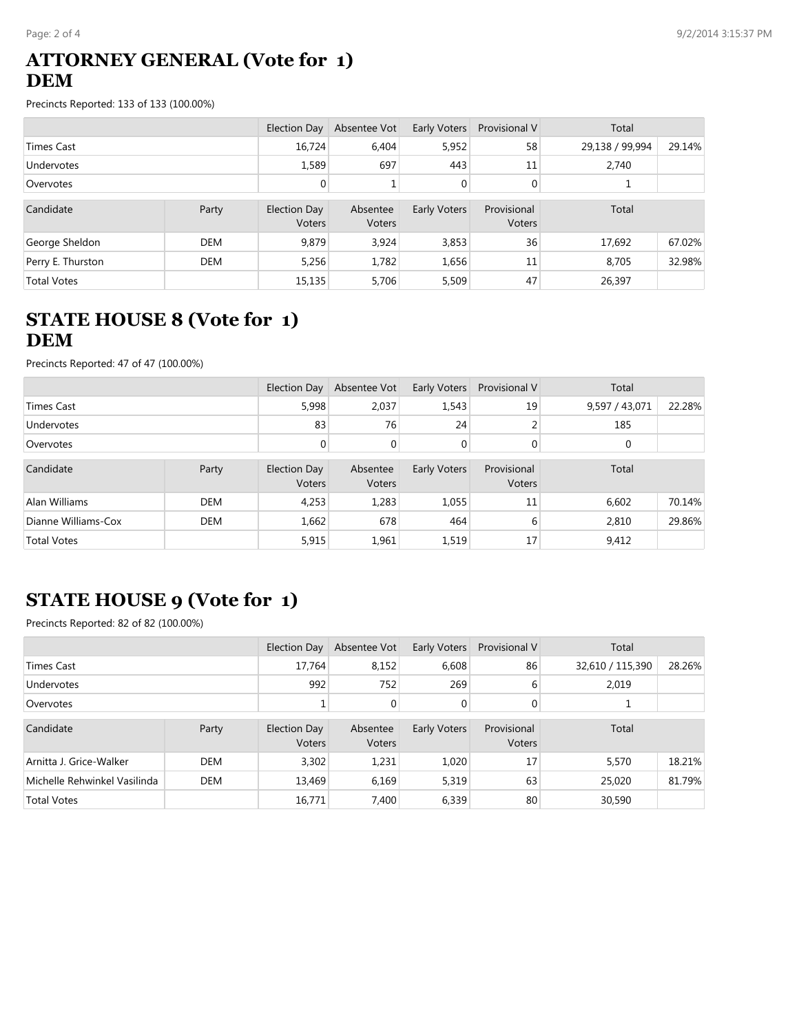#### **ATTORNEY GENERAL (Vote for 1) DEM**

Precincts Reported: 133 of 133 (100.00%)

|                    |            | Election Day           | Absentee Vot       | Early Voters | Provisional V         | Total           |        |
|--------------------|------------|------------------------|--------------------|--------------|-----------------------|-----------------|--------|
| Times Cast         |            | 16,724                 | 6,404              | 5,952        | 58                    | 29,138 / 99,994 | 29.14% |
| <b>Undervotes</b>  |            | 1,589                  | 697                | 443          | 11                    | 2,740           |        |
| Overvotes          |            | $\overline{0}$         |                    | $\mathbf{0}$ | 0                     |                 |        |
| Candidate          | Party      | Election Day<br>Voters | Absentee<br>Voters | Early Voters | Provisional<br>Voters | Total           |        |
| George Sheldon     | <b>DEM</b> | 9.879                  | 3.924              | 3,853        | 36                    | 17,692          | 67.02% |
| Perry E. Thurston  | <b>DEM</b> | 5,256                  | 1.782              | 1,656        | 11                    | 8,705           | 32.98% |
| <b>Total Votes</b> |            | 15,135                 | 5.706              | 5,509        | 47                    | 26,397          |        |

#### **STATE HOUSE 8 (Vote for 1) DEM**

Precincts Reported: 47 of 47 (100.00%)

|                     |            | <b>Election Day</b>    | Absentee Vot       | Early Voters | Provisional V         | Total          |        |
|---------------------|------------|------------------------|--------------------|--------------|-----------------------|----------------|--------|
| Times Cast          |            | 5,998                  | 2,037              | 1,543        | 19                    | 9,597 / 43,071 | 22.28% |
| Undervotes          |            | 83                     | 76                 | 24           |                       | 185            |        |
| Overvotes           |            | 0                      | 0                  | $\mathbf{0}$ | 0                     | 0              |        |
| Candidate           | Party      | Election Day<br>Voters | Absentee<br>Voters | Early Voters | Provisional<br>Voters | Total          |        |
| Alan Williams       | <b>DEM</b> | 4,253                  | 1,283              | 1,055        | 11                    | 6,602          | 70.14% |
| Dianne Williams-Cox | <b>DEM</b> | 1,662                  | 678                | 464          | 6                     | 2,810          | 29.86% |
| <b>Total Votes</b>  |            | 5,915                  | 1,961              | 1,519        | 17                    | 9,412          |        |

### **STATE HOUSE 9 (Vote for 1)**

Precincts Reported: 82 of 82 (100.00%)

|                              |             | Election Day           | Absentee Vot       | Early Voters | Provisional V         | Total            |        |
|------------------------------|-------------|------------------------|--------------------|--------------|-----------------------|------------------|--------|
| Times Cast                   |             | 17.764                 | 8.152              | 6.608        | 86                    | 32,610 / 115,390 | 28.26% |
| Undervotes                   |             | 992                    | 752                | 269          | 6                     | 2,019            |        |
| Overvotes                    | 0<br>0<br>0 |                        |                    |              |                       |                  |        |
| Candidate                    | Party       | Election Day<br>Voters | Absentee<br>Voters | Early Voters | Provisional<br>Voters | Total            |        |
| Arnitta J. Grice-Walker      | <b>DEM</b>  | 3,302                  | 1,231              | 1,020        | 17                    | 5,570            | 18.21% |
| Michelle Rehwinkel Vasilinda | <b>DEM</b>  | 13,469                 | 6,169              | 5,319        | 63                    | 25,020           | 81.79% |
| <b>Total Votes</b>           |             | 16,771                 | 7,400              | 6,339        | 80                    | 30,590           |        |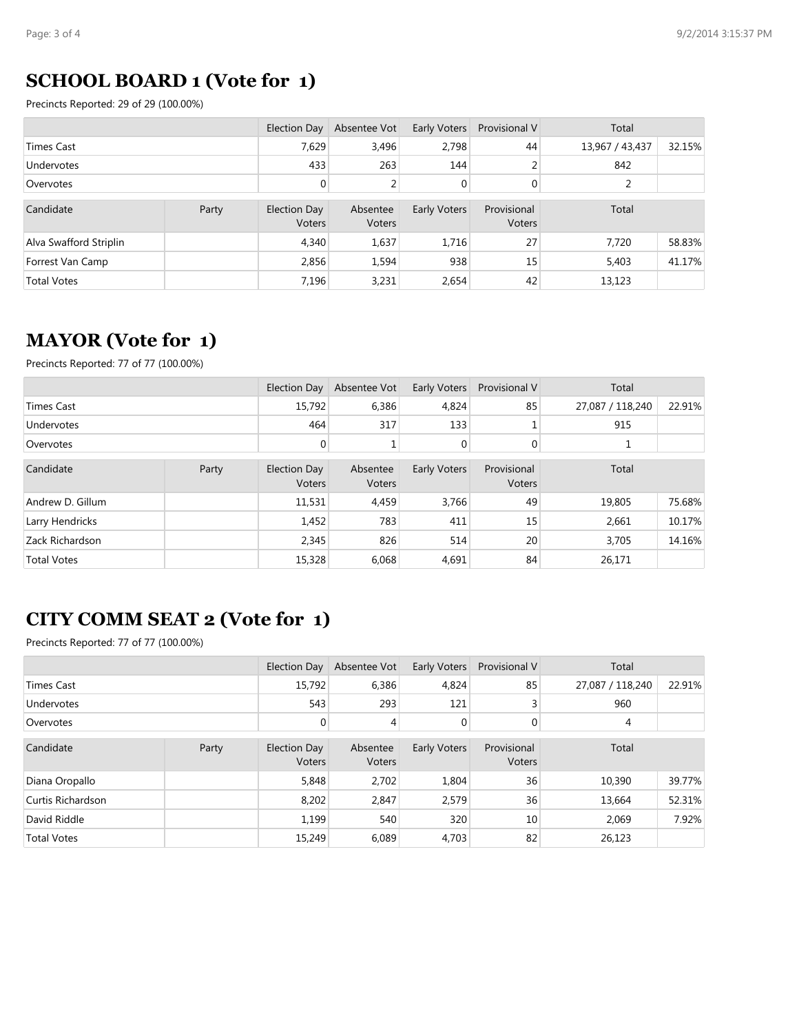#### **SCHOOL BOARD 1 (Vote for 1)**

Precincts Reported: 29 of 29 (100.00%)

|                        |       | Election Day           | Absentee Vot       | Early Voters | Provisional V         | Total           |        |
|------------------------|-------|------------------------|--------------------|--------------|-----------------------|-----------------|--------|
| Times Cast             |       | 7.629                  | 3,496              | 2,798        | 44                    | 13,967 / 43,437 | 32.15% |
| <b>Undervotes</b>      |       | 433                    | 263                | 144          |                       | 842             |        |
| Overvotes              |       | $\overline{0}$         | 2                  | $\mathbf{0}$ | $\mathbf 0$           | 2               |        |
| Candidate              | Party | Election Day<br>Voters | Absentee<br>Voters | Early Voters | Provisional<br>Voters | Total           |        |
| Alva Swafford Striplin |       | 4,340                  | 1,637              | 1,716        | 27                    | 7,720           | 58.83% |
| Forrest Van Camp       |       | 2,856                  | 1,594              | 938          | 15                    | 5,403           | 41.17% |
| <b>Total Votes</b>     |       | 7.196                  | 3,231              | 2,654        | 42                    | 13,123          |        |

### **MAYOR (Vote for 1)**

Precincts Reported: 77 of 77 (100.00%)

|                    |       | Election Day                  | Absentee Vot              | Early Voters | <b>Provisional V</b>         | Total            |        |
|--------------------|-------|-------------------------------|---------------------------|--------------|------------------------------|------------------|--------|
| <b>Times Cast</b>  |       | 15,792                        | 6,386                     | 4,824        | 85                           | 27,087 / 118,240 | 22.91% |
| Undervotes         |       | 464                           | 317                       | 133          |                              | 915              |        |
| Overvotes          |       | 0                             | 1                         | 0            | 0                            |                  |        |
| Candidate          | Party | Election Day<br><b>Voters</b> | Absentee<br><b>Voters</b> | Early Voters | Provisional<br><b>Voters</b> | Total            |        |
| Andrew D. Gillum   |       | 11,531                        | 4,459                     | 3,766        | 49                           | 19,805           | 75.68% |
| Larry Hendricks    |       | 1,452                         | 783                       | 411          | 15                           | 2,661            | 10.17% |
| Zack Richardson    |       | 2,345                         | 826                       | 514          | 20                           | 3,705            | 14.16% |
| <b>Total Votes</b> |       | 15,328                        | 6,068                     | 4,691        | 84                           | 26,171           |        |

## **CITY COMM SEAT 2 (Vote for 1)**

Precincts Reported: 77 of 77 (100.00%)

|                    |       | Election Day                  | Absentee Vot       | Early Voters | <b>Provisional V</b>  | Total            |        |
|--------------------|-------|-------------------------------|--------------------|--------------|-----------------------|------------------|--------|
| Times Cast         |       | 15,792                        | 6,386              | 4,824        | 85                    | 27,087 / 118,240 | 22.91% |
| Undervotes         |       | 543                           | 293                | 121          | 3                     | 960              |        |
| Overvotes          |       | $\overline{0}$                | 4                  | $\mathbf 0$  | $\mathbf{0}$          | 4                |        |
| Candidate          | Party | <b>Election Day</b><br>Voters | Absentee<br>Voters | Early Voters | Provisional<br>Voters | Total            |        |
| Diana Oropallo     |       | 5,848                         | 2,702              | 1,804        | 36                    | 10,390           | 39.77% |
| Curtis Richardson  |       | 8,202                         | 2,847              | 2,579        | 36                    | 13,664           | 52.31% |
| David Riddle       |       | 1,199                         | 540                | 320          | 10                    | 2,069            | 7.92%  |
| <b>Total Votes</b> |       | 15,249                        | 6.089              | 4,703        | 82                    | 26,123           |        |